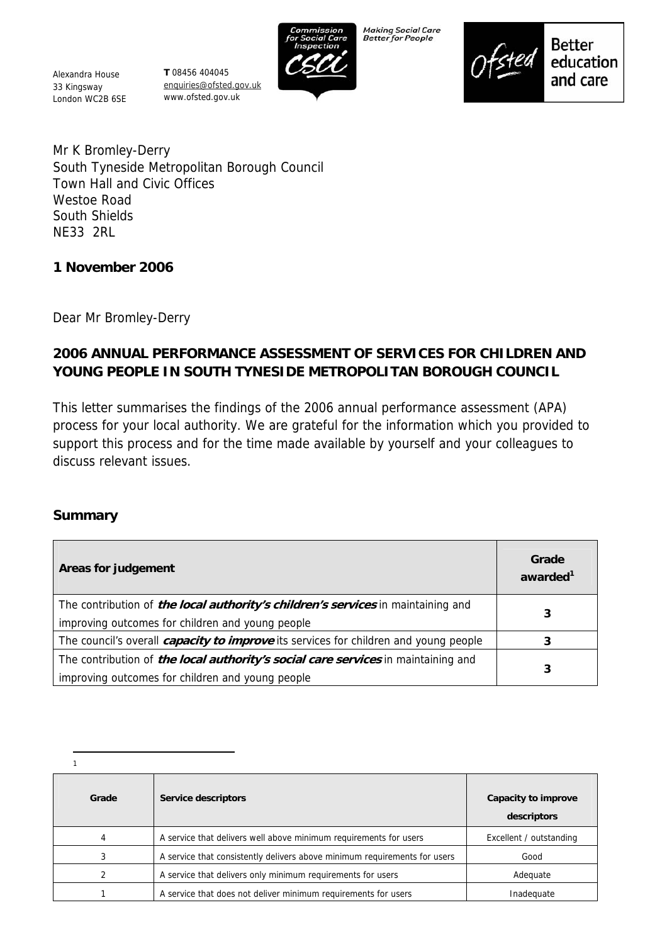Alexandra House 33 Kingsway London WC2B 6SE

**T** 08456 404045 enquiries@ofsted.gov.uk www.ofsted.gov.uk



Making Social Care<br>Better for People



**Better** education and care

Mr K Bromley-Derry South Tyneside Metropolitan Borough Council Town Hall and Civic Offices Westoe Road South Shields NE33 2RL

## **1 November 2006**

Dear Mr Bromley-Derry

# **2006 ANNUAL PERFORMANCE ASSESSMENT OF SERVICES FOR CHILDREN AND YOUNG PEOPLE IN SOUTH TYNESIDE METROPOLITAN BOROUGH COUNCIL**

This letter summarises the findings of the 2006 annual performance assessment (APA) process for your local authority. We are grateful for the information which you provided to support this process and for the time made available by yourself and your colleagues to discuss relevant issues.

## **Summary**

| Areas for judgement                                                                                                                          | Grade<br>awarded <sup>1</sup> |
|----------------------------------------------------------------------------------------------------------------------------------------------|-------------------------------|
| The contribution of <i>the local authority's children's services</i> in maintaining and<br>improving outcomes for children and young people  |                               |
| The council's overall <i>capacity to improve</i> its services for children and young people                                                  |                               |
| The contribution of <i>the local authority's social care services</i> in maintaining and<br>improving outcomes for children and young people |                               |

 $\overline{a}$ 1

| Grade | Service descriptors                                                       | Capacity to improve<br>descriptors |
|-------|---------------------------------------------------------------------------|------------------------------------|
| 4     | A service that delivers well above minimum requirements for users         | Excellent / outstanding            |
| 3     | A service that consistently delivers above minimum requirements for users | Good                               |
| 2     | A service that delivers only minimum requirements for users               | Adequate                           |
|       | A service that does not deliver minimum requirements for users            | Inadequate                         |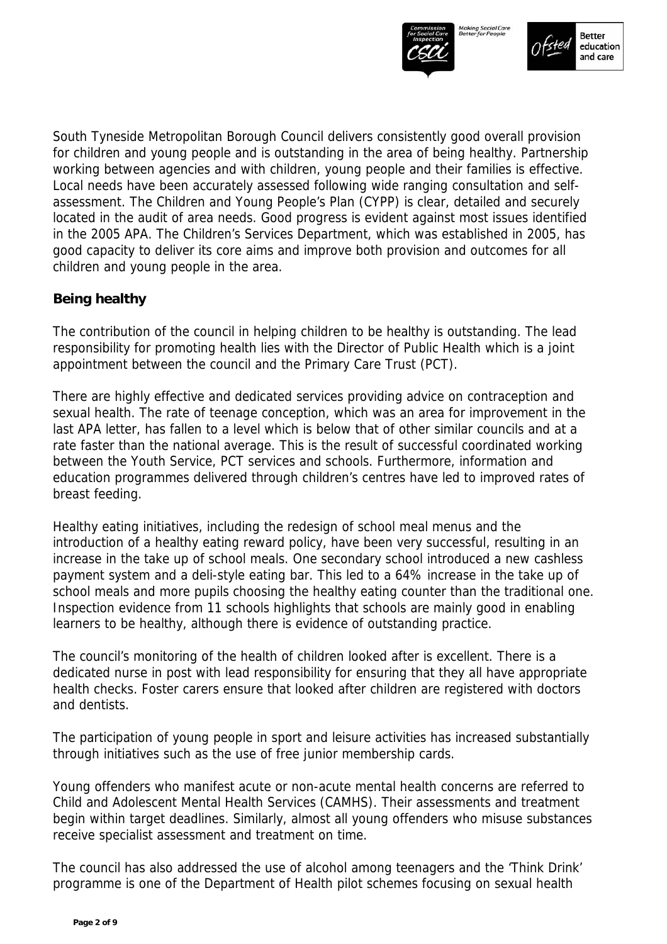



South Tyneside Metropolitan Borough Council delivers consistently good overall provision for children and young people and is outstanding in the area of being healthy. Partnership working between agencies and with children, young people and their families is effective. Local needs have been accurately assessed following wide ranging consultation and selfassessment. The Children and Young People's Plan (CYPP) is clear, detailed and securely located in the audit of area needs. Good progress is evident against most issues identified in the 2005 APA. The Children's Services Department, which was established in 2005, has good capacity to deliver its core aims and improve both provision and outcomes for all children and young people in the area.

# **Being healthy**

The contribution of the council in helping children to be healthy is outstanding. The lead responsibility for promoting health lies with the Director of Public Health which is a joint appointment between the council and the Primary Care Trust (PCT).

There are highly effective and dedicated services providing advice on contraception and sexual health. The rate of teenage conception, which was an area for improvement in the last APA letter, has fallen to a level which is below that of other similar councils and at a rate faster than the national average. This is the result of successful coordinated working between the Youth Service, PCT services and schools. Furthermore, information and education programmes delivered through children's centres have led to improved rates of breast feeding.

Healthy eating initiatives, including the redesign of school meal menus and the introduction of a healthy eating reward policy, have been very successful, resulting in an increase in the take up of school meals. One secondary school introduced a new cashless payment system and a deli-style eating bar. This led to a 64% increase in the take up of school meals and more pupils choosing the healthy eating counter than the traditional one. Inspection evidence from 11 schools highlights that schools are mainly good in enabling learners to be healthy, although there is evidence of outstanding practice.

The council's monitoring of the health of children looked after is excellent. There is a dedicated nurse in post with lead responsibility for ensuring that they all have appropriate health checks. Foster carers ensure that looked after children are registered with doctors and dentists.

The participation of young people in sport and leisure activities has increased substantially through initiatives such as the use of free junior membership cards.

Young offenders who manifest acute or non-acute mental health concerns are referred to Child and Adolescent Mental Health Services (CAMHS). Their assessments and treatment begin within target deadlines. Similarly, almost all young offenders who misuse substances receive specialist assessment and treatment on time.

The council has also addressed the use of alcohol among teenagers and the 'Think Drink' programme is one of the Department of Health pilot schemes focusing on sexual health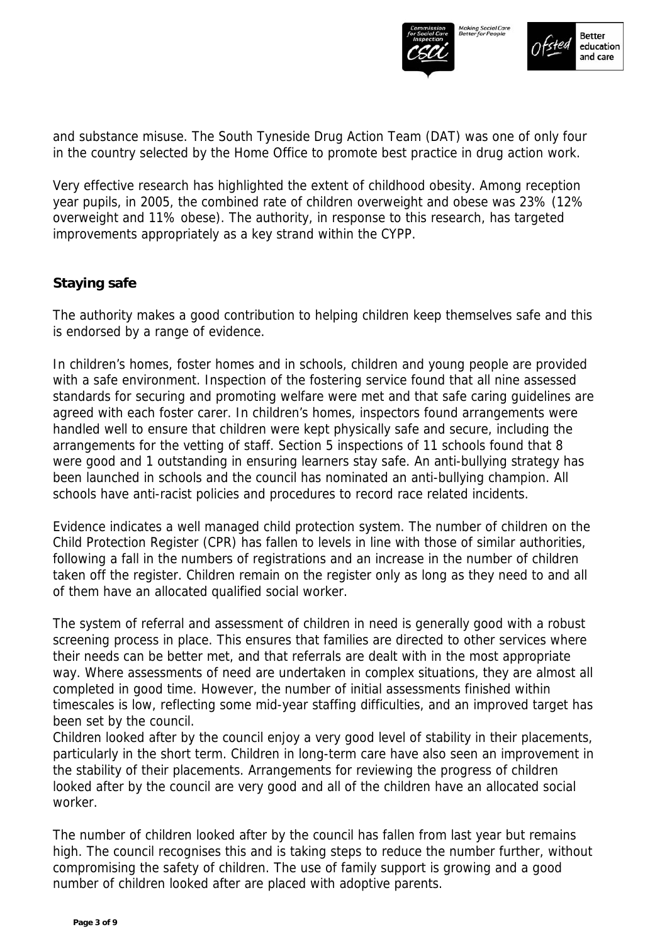



and substance misuse. The South Tyneside Drug Action Team (DAT) was one of only four in the country selected by the Home Office to promote best practice in drug action work.

Very effective research has highlighted the extent of childhood obesity. Among reception year pupils, in 2005, the combined rate of children overweight and obese was 23% (12% overweight and 11% obese). The authority, in response to this research, has targeted improvements appropriately as a key strand within the CYPP.

# **Staying safe**

The authority makes a good contribution to helping children keep themselves safe and this is endorsed by a range of evidence.

In children's homes, foster homes and in schools, children and young people are provided with a safe environment. Inspection of the fostering service found that all nine assessed standards for securing and promoting welfare were met and that safe caring guidelines are agreed with each foster carer. In children's homes, inspectors found arrangements were handled well to ensure that children were kept physically safe and secure, including the arrangements for the vetting of staff. Section 5 inspections of 11 schools found that 8 were good and 1 outstanding in ensuring learners stay safe. An anti-bullying strategy has been launched in schools and the council has nominated an anti-bullying champion. All schools have anti-racist policies and procedures to record race related incidents.

Evidence indicates a well managed child protection system. The number of children on the Child Protection Register (CPR) has fallen to levels in line with those of similar authorities, following a fall in the numbers of registrations and an increase in the number of children taken off the register. Children remain on the register only as long as they need to and all of them have an allocated qualified social worker.

The system of referral and assessment of children in need is generally good with a robust screening process in place. This ensures that families are directed to other services where their needs can be better met, and that referrals are dealt with in the most appropriate way. Where assessments of need are undertaken in complex situations, they are almost all completed in good time. However, the number of initial assessments finished within timescales is low, reflecting some mid-year staffing difficulties, and an improved target has been set by the council.

Children looked after by the council enjoy a very good level of stability in their placements, particularly in the short term. Children in long-term care have also seen an improvement in the stability of their placements. Arrangements for reviewing the progress of children looked after by the council are very good and all of the children have an allocated social worker.

The number of children looked after by the council has fallen from last year but remains high. The council recognises this and is taking steps to reduce the number further, without compromising the safety of children. The use of family support is growing and a good number of children looked after are placed with adoptive parents.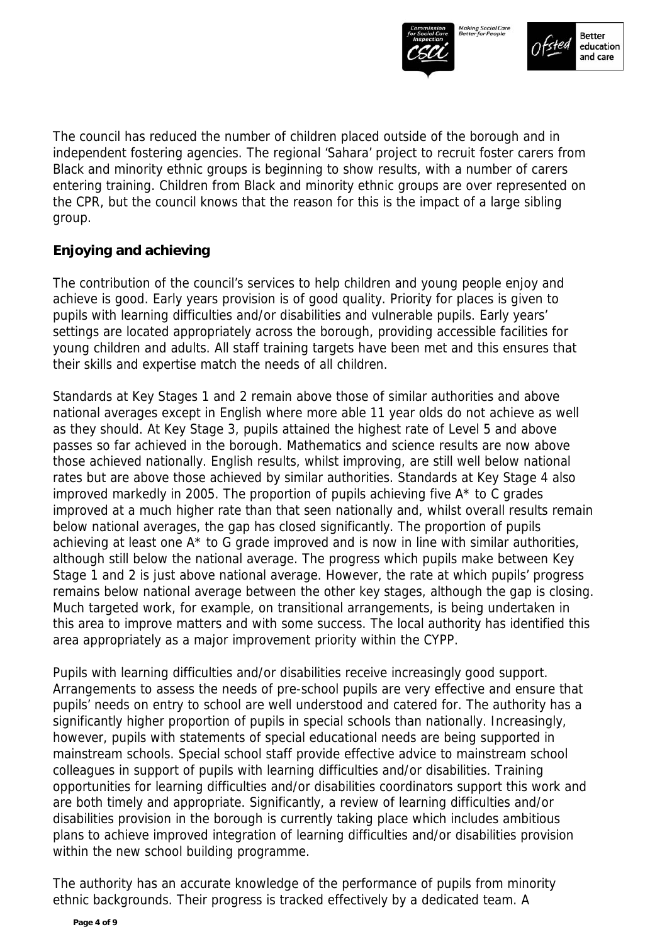



The council has reduced the number of children placed outside of the borough and in independent fostering agencies. The regional 'Sahara' project to recruit foster carers from Black and minority ethnic groups is beginning to show results, with a number of carers entering training. Children from Black and minority ethnic groups are over represented on the CPR, but the council knows that the reason for this is the impact of a large sibling group.

# **Enjoying and achieving**

The contribution of the council's services to help children and young people enjoy and achieve is good. Early years provision is of good quality. Priority for places is given to pupils with learning difficulties and/or disabilities and vulnerable pupils. Early years' settings are located appropriately across the borough, providing accessible facilities for young children and adults. All staff training targets have been met and this ensures that their skills and expertise match the needs of all children.

Standards at Key Stages 1 and 2 remain above those of similar authorities and above national averages except in English where more able 11 year olds do not achieve as well as they should. At Key Stage 3, pupils attained the highest rate of Level 5 and above passes so far achieved in the borough. Mathematics and science results are now above those achieved nationally. English results, whilst improving, are still well below national rates but are above those achieved by similar authorities. Standards at Key Stage 4 also improved markedly in 2005. The proportion of pupils achieving five A\* to C grades improved at a much higher rate than that seen nationally and, whilst overall results remain below national averages, the gap has closed significantly. The proportion of pupils achieving at least one A\* to G grade improved and is now in line with similar authorities, although still below the national average. The progress which pupils make between Key Stage 1 and 2 is just above national average. However, the rate at which pupils' progress remains below national average between the other key stages, although the gap is closing. Much targeted work, for example, on transitional arrangements, is being undertaken in this area to improve matters and with some success. The local authority has identified this area appropriately as a major improvement priority within the CYPP.

Pupils with learning difficulties and/or disabilities receive increasingly good support. Arrangements to assess the needs of pre-school pupils are very effective and ensure that pupils' needs on entry to school are well understood and catered for. The authority has a significantly higher proportion of pupils in special schools than nationally. Increasingly, however, pupils with statements of special educational needs are being supported in mainstream schools. Special school staff provide effective advice to mainstream school colleagues in support of pupils with learning difficulties and/or disabilities. Training opportunities for learning difficulties and/or disabilities coordinators support this work and are both timely and appropriate. Significantly, a review of learning difficulties and/or disabilities provision in the borough is currently taking place which includes ambitious plans to achieve improved integration of learning difficulties and/or disabilities provision within the new school building programme.

The authority has an accurate knowledge of the performance of pupils from minority ethnic backgrounds. Their progress is tracked effectively by a dedicated team. A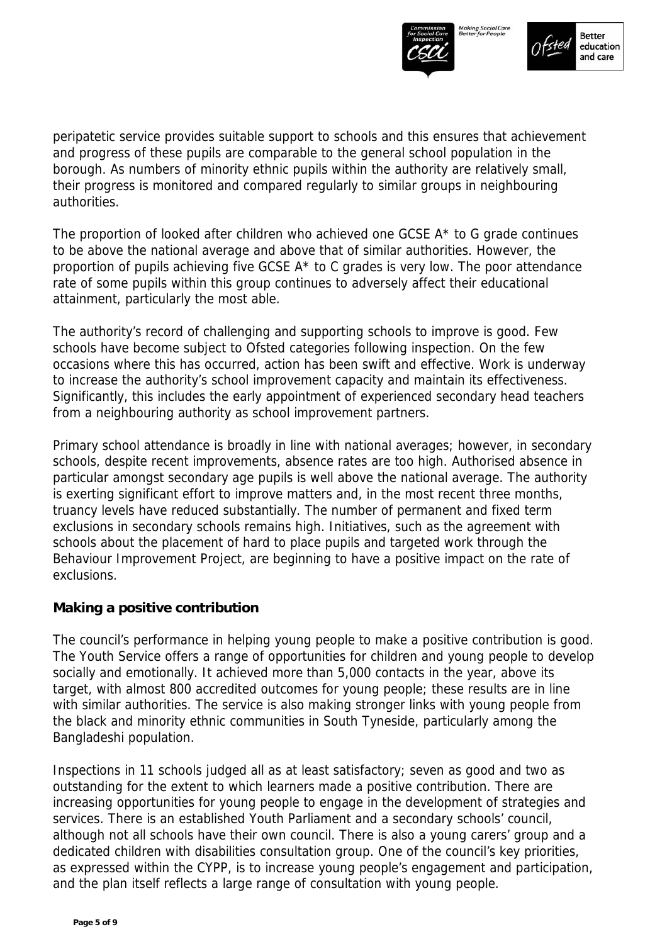



peripatetic service provides suitable support to schools and this ensures that achievement and progress of these pupils are comparable to the general school population in the borough. As numbers of minority ethnic pupils within the authority are relatively small, their progress is monitored and compared regularly to similar groups in neighbouring authorities.

The proportion of looked after children who achieved one GCSE  $A^*$  to G grade continues to be above the national average and above that of similar authorities. However, the proportion of pupils achieving five GCSE A\* to C grades is very low. The poor attendance rate of some pupils within this group continues to adversely affect their educational attainment, particularly the most able.

The authority's record of challenging and supporting schools to improve is good. Few schools have become subject to Ofsted categories following inspection. On the few occasions where this has occurred, action has been swift and effective. Work is underway to increase the authority's school improvement capacity and maintain its effectiveness. Significantly, this includes the early appointment of experienced secondary head teachers from a neighbouring authority as school improvement partners.

Primary school attendance is broadly in line with national averages; however, in secondary schools, despite recent improvements, absence rates are too high. Authorised absence in particular amongst secondary age pupils is well above the national average. The authority is exerting significant effort to improve matters and, in the most recent three months, truancy levels have reduced substantially. The number of permanent and fixed term exclusions in secondary schools remains high. Initiatives, such as the agreement with schools about the placement of hard to place pupils and targeted work through the Behaviour Improvement Project, are beginning to have a positive impact on the rate of exclusions.

## **Making a positive contribution**

The council's performance in helping young people to make a positive contribution is good. The Youth Service offers a range of opportunities for children and young people to develop socially and emotionally. It achieved more than 5,000 contacts in the year, above its target, with almost 800 accredited outcomes for young people; these results are in line with similar authorities. The service is also making stronger links with young people from the black and minority ethnic communities in South Tyneside, particularly among the Bangladeshi population.

Inspections in 11 schools judged all as at least satisfactory; seven as good and two as outstanding for the extent to which learners made a positive contribution. There are increasing opportunities for young people to engage in the development of strategies and services. There is an established Youth Parliament and a secondary schools' council, although not all schools have their own council. There is also a young carers' group and a dedicated children with disabilities consultation group. One of the council's key priorities, as expressed within the CYPP, is to increase young people's engagement and participation, and the plan itself reflects a large range of consultation with young people.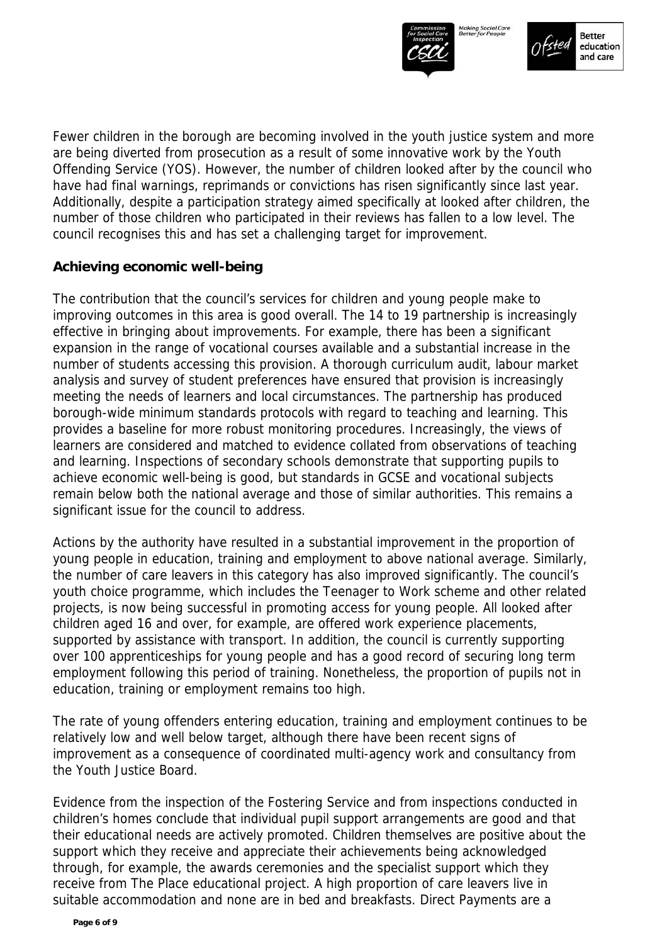



Fewer children in the borough are becoming involved in the youth justice system and more are being diverted from prosecution as a result of some innovative work by the Youth Offending Service (YOS). However, the number of children looked after by the council who have had final warnings, reprimands or convictions has risen significantly since last year. Additionally, despite a participation strategy aimed specifically at looked after children, the number of those children who participated in their reviews has fallen to a low level. The council recognises this and has set a challenging target for improvement.

#### **Achieving economic well-being**

The contribution that the council's services for children and young people make to improving outcomes in this area is good overall. The 14 to 19 partnership is increasingly effective in bringing about improvements. For example, there has been a significant expansion in the range of vocational courses available and a substantial increase in the number of students accessing this provision. A thorough curriculum audit, labour market analysis and survey of student preferences have ensured that provision is increasingly meeting the needs of learners and local circumstances. The partnership has produced borough-wide minimum standards protocols with regard to teaching and learning. This provides a baseline for more robust monitoring procedures. Increasingly, the views of learners are considered and matched to evidence collated from observations of teaching and learning. Inspections of secondary schools demonstrate that supporting pupils to achieve economic well-being is good, but standards in GCSE and vocational subjects remain below both the national average and those of similar authorities. This remains a significant issue for the council to address.

Actions by the authority have resulted in a substantial improvement in the proportion of young people in education, training and employment to above national average. Similarly, the number of care leavers in this category has also improved significantly. The council's youth choice programme, which includes the Teenager to Work scheme and other related projects, is now being successful in promoting access for young people. All looked after children aged 16 and over, for example, are offered work experience placements, supported by assistance with transport. In addition, the council is currently supporting over 100 apprenticeships for young people and has a good record of securing long term employment following this period of training. Nonetheless, the proportion of pupils not in education, training or employment remains too high.

The rate of young offenders entering education, training and employment continues to be relatively low and well below target, although there have been recent signs of improvement as a consequence of coordinated multi-agency work and consultancy from the Youth Justice Board.

Evidence from the inspection of the Fostering Service and from inspections conducted in children's homes conclude that individual pupil support arrangements are good and that their educational needs are actively promoted. Children themselves are positive about the support which they receive and appreciate their achievements being acknowledged through, for example, the awards ceremonies and the specialist support which they receive from The Place educational project. A high proportion of care leavers live in suitable accommodation and none are in bed and breakfasts. Direct Payments are a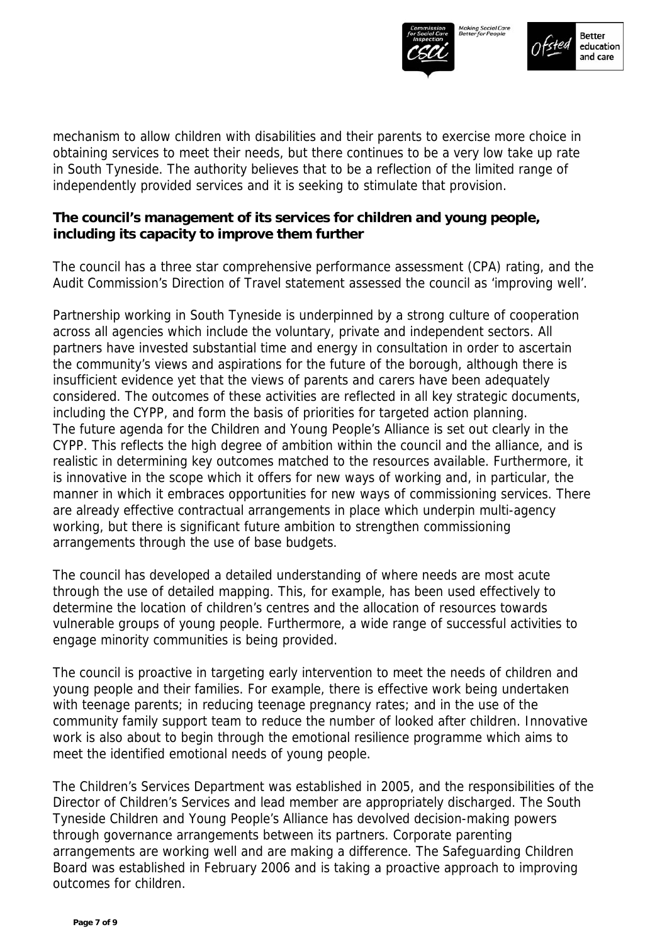



mechanism to allow children with disabilities and their parents to exercise more choice in obtaining services to meet their needs, but there continues to be a very low take up rate in South Tyneside. The authority believes that to be a reflection of the limited range of independently provided services and it is seeking to stimulate that provision.

#### **The council's management of its services for children and young people, including its capacity to improve them further**

The council has a three star comprehensive performance assessment (CPA) rating, and the Audit Commission's Direction of Travel statement assessed the council as 'improving well'.

Partnership working in South Tyneside is underpinned by a strong culture of cooperation across all agencies which include the voluntary, private and independent sectors. All partners have invested substantial time and energy in consultation in order to ascertain the community's views and aspirations for the future of the borough, although there is insufficient evidence yet that the views of parents and carers have been adequately considered. The outcomes of these activities are reflected in all key strategic documents, including the CYPP, and form the basis of priorities for targeted action planning. The future agenda for the Children and Young People's Alliance is set out clearly in the CYPP. This reflects the high degree of ambition within the council and the alliance, and is realistic in determining key outcomes matched to the resources available. Furthermore, it is innovative in the scope which it offers for new ways of working and, in particular, the manner in which it embraces opportunities for new ways of commissioning services. There are already effective contractual arrangements in place which underpin multi-agency working, but there is significant future ambition to strengthen commissioning arrangements through the use of base budgets.

The council has developed a detailed understanding of where needs are most acute through the use of detailed mapping. This, for example, has been used effectively to determine the location of children's centres and the allocation of resources towards vulnerable groups of young people. Furthermore, a wide range of successful activities to engage minority communities is being provided.

The council is proactive in targeting early intervention to meet the needs of children and young people and their families. For example, there is effective work being undertaken with teenage parents; in reducing teenage pregnancy rates; and in the use of the community family support team to reduce the number of looked after children. Innovative work is also about to begin through the emotional resilience programme which aims to meet the identified emotional needs of young people.

The Children's Services Department was established in 2005, and the responsibilities of the Director of Children's Services and lead member are appropriately discharged. The South Tyneside Children and Young People's Alliance has devolved decision-making powers through governance arrangements between its partners. Corporate parenting arrangements are working well and are making a difference. The Safeguarding Children Board was established in February 2006 and is taking a proactive approach to improving outcomes for children.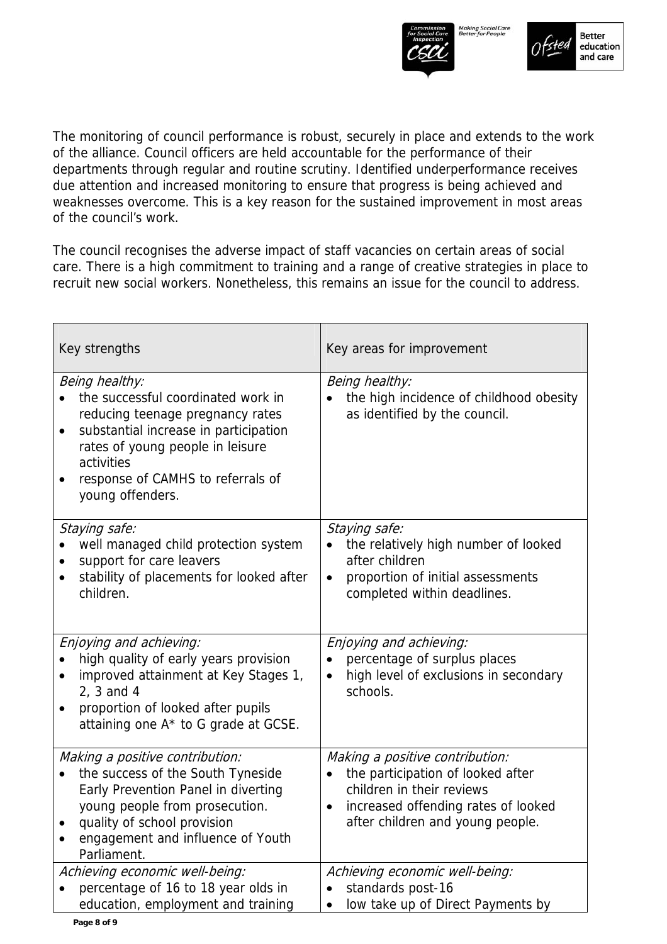



The monitoring of council performance is robust, securely in place and extends to the work of the alliance. Council officers are held accountable for the performance of their departments through regular and routine scrutiny. Identified underperformance receives due attention and increased monitoring to ensure that progress is being achieved and weaknesses overcome. This is a key reason for the sustained improvement in most areas of the council's work.

The council recognises the adverse impact of staff vacancies on certain areas of social care. There is a high commitment to training and a range of creative strategies in place to recruit new social workers. Nonetheless, this remains an issue for the council to address.

| Key strengths                                                                                                                                                                                                                                             | Key areas for improvement                                                                                                                                                                 |
|-----------------------------------------------------------------------------------------------------------------------------------------------------------------------------------------------------------------------------------------------------------|-------------------------------------------------------------------------------------------------------------------------------------------------------------------------------------------|
| Being healthy:<br>the successful coordinated work in<br>reducing teenage pregnancy rates<br>substantial increase in participation<br>$\bullet$<br>rates of young people in leisure<br>activities<br>response of CAMHS to referrals of<br>young offenders. | Being healthy:<br>the high incidence of childhood obesity<br>as identified by the council.                                                                                                |
| Staying safe:<br>well managed child protection system<br>support for care leavers<br>stability of placements for looked after<br>$\bullet$<br>children.                                                                                                   | Staying safe:<br>the relatively high number of looked<br>after children<br>proportion of initial assessments<br>$\bullet$<br>completed within deadlines.                                  |
| Enjoying and achieving:<br>high quality of early years provision<br>improved attainment at Key Stages 1,<br>$\bullet$<br>2, 3 and 4<br>proportion of looked after pupils<br>$\bullet$<br>attaining one A* to G grade at GCSE.                             | Enjoying and achieving:<br>percentage of surplus places<br>high level of exclusions in secondary<br>$\bullet$<br>schools.                                                                 |
| Making a positive contribution:<br>the success of the South Tyneside<br>Early Prevention Panel in diverting<br>young people from prosecution.<br>quality of school provision<br>engagement and influence of Youth<br>Parliament.                          | Making a positive contribution:<br>the participation of looked after<br>children in their reviews<br>increased offending rates of looked<br>$\bullet$<br>after children and young people. |
| Achieving economic well-being:<br>percentage of 16 to 18 year olds in<br>education, employment and training                                                                                                                                               | Achieving economic well-being:<br>standards post-16<br>low take up of Direct Payments by                                                                                                  |